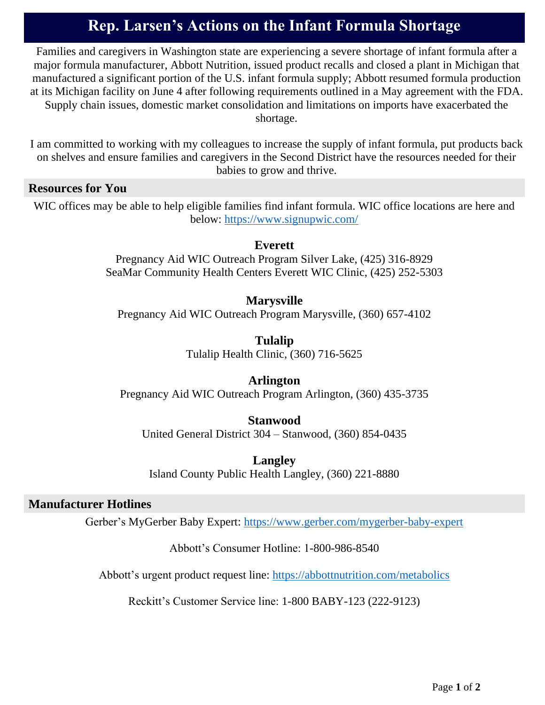# **Rep. Larsen's Actions on the Infant Formula Shortage**

Families and caregivers in Washington state are experiencing a severe shortage of infant formula after a major formula manufacturer, Abbott Nutrition, issued product recalls and closed a plant in Michigan that manufactured a significant portion of the U.S. infant formula supply; Abbott resumed formula production at its Michigan facility on June 4 after following requirements outlined in a May agreement with the FDA. Supply chain issues, domestic market consolidation and limitations on imports have exacerbated the shortage.

I am committed to working with my colleagues to increase the supply of infant formula, put products back on shelves and ensure families and caregivers in the Second District have the resources needed for their babies to grow and thrive.

## **Resources for You**

WIC offices may be able to help eligible families find infant formula. WIC office locations are here and below:<https://www.signupwic.com/>

**Everett**

Pregnancy Aid WIC Outreach Program Silver Lake, (425) 316-8929 SeaMar Community Health Centers Everett WIC Clinic, (425) 252-5303

# **Marysville**

Pregnancy Aid WIC Outreach Program Marysville, (360) 657-4102

**Tulalip** Tulalip Health Clinic, (360) 716-5625

## **Arlington**

Pregnancy Aid WIC Outreach Program Arlington, (360) 435-3735

## **Stanwood**

United General District 304 – Stanwood, (360) 854-0435

**Langley** Island County Public Health Langley, (360) 221-8880

#### **Manufacturer Hotlines**

Gerber's MyGerber Baby Expert: <https://www.gerber.com/mygerber-baby-expert>

Abbott's Consumer Hotline: 1-800-986-8540

Abbott's urgent product request line: https://abbottnutrition.com/metabolics

Reckitt's Customer Service line: 1-800 BABY-123 (222-9123)